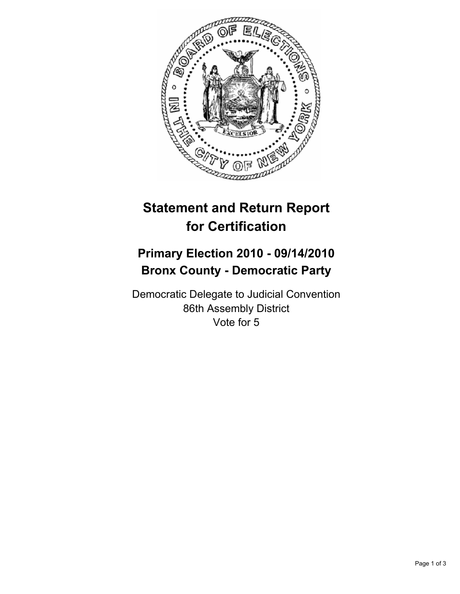

# **Statement and Return Report for Certification**

## **Primary Election 2010 - 09/14/2010 Bronx County - Democratic Party**

Democratic Delegate to Judicial Convention 86th Assembly District Vote for 5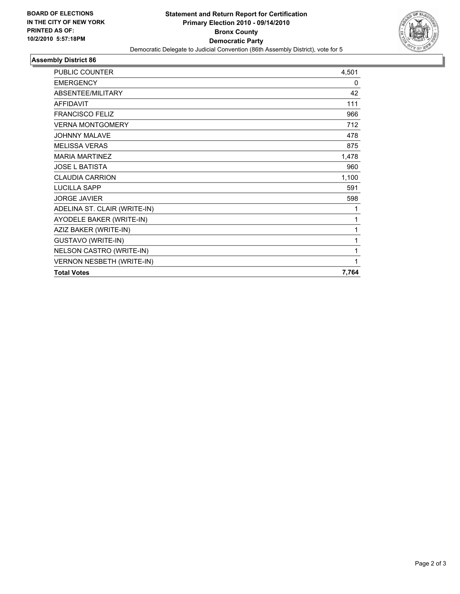

### **Assembly District 86**

| <b>PUBLIC COUNTER</b>            | 4,501 |
|----------------------------------|-------|
| <b>EMERGENCY</b>                 | 0     |
| ABSENTEE/MILITARY                | 42    |
| <b>AFFIDAVIT</b>                 | 111   |
| <b>FRANCISCO FELIZ</b>           | 966   |
| <b>VERNA MONTGOMERY</b>          | 712   |
| <b>JOHNNY MALAVE</b>             | 478   |
| <b>MELISSA VERAS</b>             | 875   |
| <b>MARIA MARTINEZ</b>            | 1,478 |
| <b>JOSE L BATISTA</b>            | 960   |
| <b>CLAUDIA CARRION</b>           | 1,100 |
| <b>LUCILLA SAPP</b>              | 591   |
| <b>JORGE JAVIER</b>              | 598   |
| ADELINA ST. CLAIR (WRITE-IN)     | 1     |
| AYODELE BAKER (WRITE-IN)         | 1     |
| AZIZ BAKER (WRITE-IN)            | 1     |
| <b>GUSTAVO (WRITE-IN)</b>        | 1     |
| NELSON CASTRO (WRITE-IN)         | 1     |
| <b>VERNON NESBETH (WRITE-IN)</b> | 1     |
| <b>Total Votes</b>               | 7,764 |